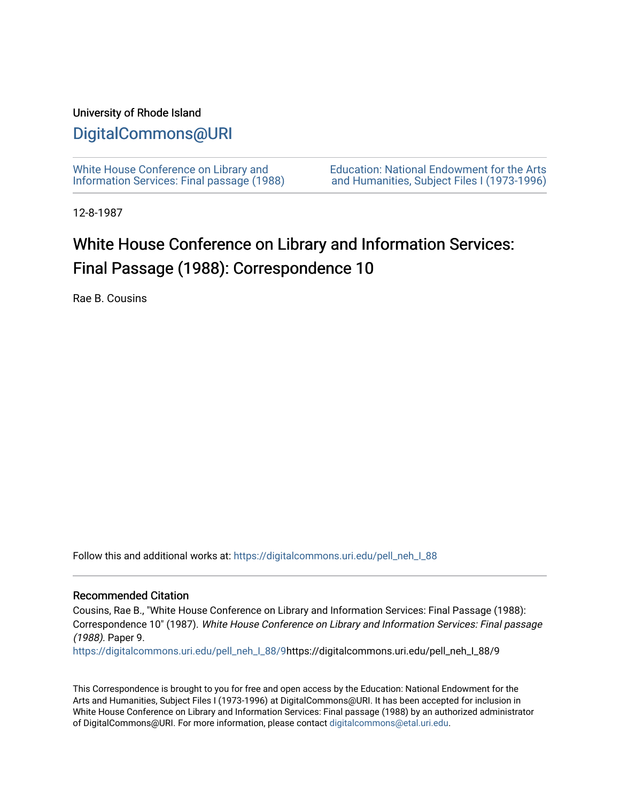### University of Rhode Island

## [DigitalCommons@URI](https://digitalcommons.uri.edu/)

[White House Conference on Library and](https://digitalcommons.uri.edu/pell_neh_I_88) [Information Services: Final passage \(1988\)](https://digitalcommons.uri.edu/pell_neh_I_88) [Education: National Endowment for the Arts](https://digitalcommons.uri.edu/pell_neh_I)  [and Humanities, Subject Files I \(1973-1996\)](https://digitalcommons.uri.edu/pell_neh_I) 

12-8-1987

## White House Conference on Library and Information Services: Final Passage (1988): Correspondence 10

Rae B. Cousins

Follow this and additional works at: [https://digitalcommons.uri.edu/pell\\_neh\\_I\\_88](https://digitalcommons.uri.edu/pell_neh_I_88?utm_source=digitalcommons.uri.edu%2Fpell_neh_I_88%2F9&utm_medium=PDF&utm_campaign=PDFCoverPages) 

#### Recommended Citation

Cousins, Rae B., "White House Conference on Library and Information Services: Final Passage (1988): Correspondence 10" (1987). White House Conference on Library and Information Services: Final passage (1988). Paper 9.

[https://digitalcommons.uri.edu/pell\\_neh\\_I\\_88/9h](https://digitalcommons.uri.edu/pell_neh_I_88/9?utm_source=digitalcommons.uri.edu%2Fpell_neh_I_88%2F9&utm_medium=PDF&utm_campaign=PDFCoverPages)ttps://digitalcommons.uri.edu/pell\_neh\_I\_88/9

This Correspondence is brought to you for free and open access by the Education: National Endowment for the Arts and Humanities, Subject Files I (1973-1996) at DigitalCommons@URI. It has been accepted for inclusion in White House Conference on Library and Information Services: Final passage (1988) by an authorized administrator of DigitalCommons@URI. For more information, please contact [digitalcommons@etal.uri.edu](mailto:digitalcommons@etal.uri.edu).